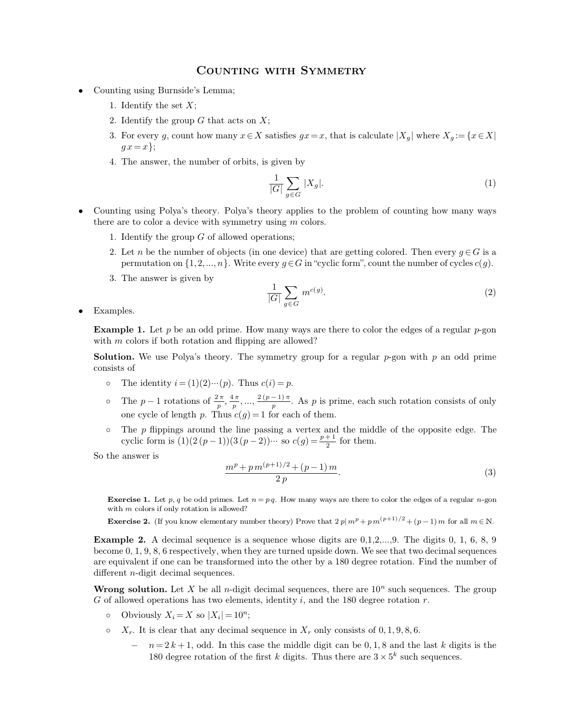## COUNTING WITH SYMMETRY<br>s Lemma;

- COUNTING<br>Counting using Burnside's Lemma;<br>1. Identify the set  $X$ ; **1.** Identify the set *X*;<br>
1. Identify the set *X*;<br>
2. Identify the group *G* th
	-
	-
	- **2. COUNTING WITH**<br>
	2. Identify the set *X*;<br>
	2. Identify the group *G* that acts on *X*;<br>
	3. For every *g*, count how many  $x \in X$  satisfies 3. For every *g*, count how many  $x \in X$  satisfies  $gx = x$ , that is calculate  $|X_g|$  where  $X_g := \{x \in X | g x = x\}$ ; Identify the set X<br>Identify the group<br>For every g, count<br> $gx = x$ ;<br>The answer, the n 1. Identify the group G that acts on X;<br>
	3. For every g, count how many  $x \in X$  satisfies  $gx = x$ , the  $gx = x$ };<br>
	4. The answer, the number of orbits, is given by
	-

$$
\frac{1}{|G|} \sum_{g \in G} |X_g|.\tag{1}
$$

- 4. The answer, the number of orbits, is given by<br>  $\frac{1}{|G|} \sum_{g \in G} |X_g|$ . (1)<br>
 Counting using Polya's theory. Polya's theory applies to the problem of counting how many ways<br>
there are to color a device with symmetry u 4. The answer, the number of orbits, is given by<br>  $\frac{1}{|G|} \sum_{g \in G} |X_g|$ . (1)<br>
Counting using Polya's theory. Polya's theory applies to the problem of counting how many ways<br>
there are to color a device with symmetry usi there are to color a device with symmetry using *m* colors.<br>
1. Identify the group *G* of allowed operations;<br>
2. Let *n* be the number of objects (in one device) that are getting colored. Then every  $q \in G$  is a permutation on  $\{1, 2, ..., n\}$ . Write every *g*  $\in$  *G* in the number of objects (in one device) that are getting colored. Then every *g*  $\in$  *G* is a permutation on  $\{1, 2, ..., n\}$ . Write every *g*  $\in$  *G* in "cyclic form
	-
	- permutation on  $\{1, 2, ..., n\}$ . Write every  $g \in G$  in "cyclic form", count the number of cycles  $c(g)$ .
	-

$$
\frac{1}{|G|} \sum_{g \in G} m^{c(g)}.
$$
 (2)

Examples.

3. The answer is given by  $\frac{1}{|G|} \sum_{g \in G} m^{c(g)}$ . (2)<br>Examples.<br>**Example 1.** Let *p* be an odd prime. How many ways are there to color the edges of a regular *p*-gon with *m* colors if both rotation and flipping are all Examples.<br> **Example 1.** Let *p* be an odd prime. How many ways are there with *m* colors if both rotation and flipping are allowed?<br> **Solution.** We use Polya's theory. The symmetry group for a **Example 1.** Let *p* be an odd prime. How many ways are there to color the edges of a regular *p*-gon with *m* colors if both rotation and flipping are allowed?<br>**Solution.** We use Polya's theory. The symmetry group for a

- 
- **Example 1.** Let *p* be an odd prime. How many ways are th with *m* colors if both rotation and flipping are allowed?<br> **Solution.** We use Polya's theory. The symmetry group fo consists of <br>
 The identity  $i = (1)(2) \cdots (p)$ .  $\frac{2\pi}{p}, \frac{4\pi}{p}, ..., \frac{2(p)}{p}$ The symmetry group<br>
Thus  $c(i) = p$ .<br>  $, ..., \frac{2(p-1)\pi}{p}$ . As p i<br>  $(g) = 1$  for each of the *p* by group for a regular  $p$ -gon with  $p$  an odd prime.<br>  $\therefore$  As  $p$  is prime, each such rotation consists of only  $\operatorname{ch}$  of them. one cycle of length *p*. Thus  $c(i) = p$ .<br>
The *p* - 1 rotations of  $\frac{2\pi}{p}$ ,  $\frac{4\pi}{p}$ , ...,  $\frac{2(p-1)\pi}{p}$ . As *p* is prime, each such rotation consists of only<br>
one cycle of length *p*. Thus  $c(g) = 1$  for each of them The netrity  $i = (1)(2)^{...}(p)$ . Thus  $c(t) = p$ .<br>
The  $p - 1$  rotations of  $\frac{2\pi}{p}, \frac{4\pi}{p}, ..., \frac{2(p-1)\pi}{p}$ . As p is prime, eacone cycle of length p. Thus  $c(g) = 1$  for each of them.<br>
The p flippings around the line passing a ver ime, each such the middle of<br>or them.
- *p* prime, each<br> *p* + 1 and the min<br>  $\frac{p+1}{2}$  for ther  $2^{101}$ o The  $p-1$  rotatio<br>one cycle of lengt<br>o The  $p$  flippings a<br>cyclic form is (1)<br>So the answer is

is 
$$
c(g) = 1
$$
 for each of them.  
\nne line passing a vertex and the middle of the opposite edge. The  
\n $)(3(p-2))\cdots$  so  $c(g) = \frac{p+1}{2}$  for them.  
\n
$$
\frac{m^p + p m^{(p+1)/2} + (p-1) m}{2 p}.
$$
\n(3)

**Exercise 1.** Let *p*, *q* be odd primes. Let *n* = *pq*. How many ways are there to color the edges of a regular *n*-gon with *m* colors if only rotation is allowed? **Exercise 1.** Let  $p, q$  be odd primes. Let  $n = pq$ .<br>with  $m$  colors if only rotation is allowed?<br>**Exercise 2.** (If you know elementary number the

**Exercise 1.** Let  $p, q$  be odd primes. Let  $n = pq$ . How many ways are there to color the edges of a regular *n*-gon with *m* colors if only rotation is allowed?<br>**Exercise 2.** (If you know elementary number theory) Prove tha **Exercise 1.** Let  $p, q$  be odd primes. Let  $n = pq$ . How many ways are there to color the edges of a regular *n*-gon with *m* colors if only rotation is allowed?<br>**Exercise 2.** (If you know elementary number theory) Prove tha with m colors if only rotation is allowed?<br> **Exercise 2.** (If you know elementary number theory) Prove that  $2p|m^p + pm^{(p+1)/2} + (p-1)m$  for all  $m \in \mathbb{N}$ .<br> **Example 2.** A decimal sequence is a sequence whose digits are 0,1, **Exercise 2.** (If you know elementary num<br> **Example 2.** A decimal sequence is a s<br>
become 0, 1, 9, 8, 6 respectively, when the<br>
are equivalent if one can be transformed<br>
different *n*-digit decimal sequences.<br> **Wrong solu Example 2.** A decimal sequence is a sequence whose digits are  $0, 1, 2, ..., 9$ . The digits  $0, 1, 6, 8, 9$  become  $0, 1, 9, 8, 6$  respectively, when they are turned upside down. We see that two decimal sequences are equival

 $G$  of allowed operations has two elements, identity  $i$ , and the 180 degree rotation  $r$ .

- Obviously  $X_i = X$  so  $|X_i| = 10^n$ ;
- 
- creat *n*-uight decimal sequences.<br> **cong solution.** Let *X* be all *n*-digit decimal sequences, there are  $10^n$  such sequences. The group<br>
of allowed operations has two elements, identity *i*, and the 180 degree rotation between that any decimal sequence in  $X_r$  only consists of 0, 1, 9, 8, 6.<br>  $n = 2k + 1$ , odd. In this case the middle digit can be 0, 1, 8 and the last k dig<br>
180 degree rotation of the first k digits. Thus there are  $3 \times 5$  $5^k$  such sequ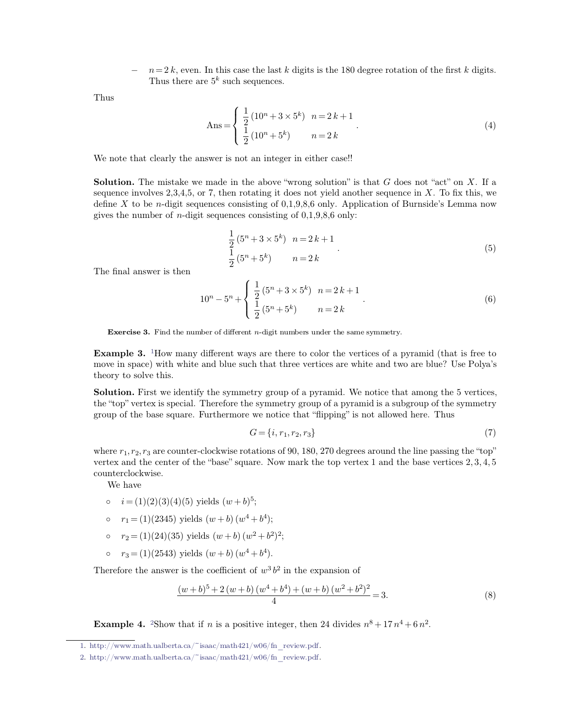*n* = 2 *k*, even. In this case the last *k* digits is the 180 degree rotation of the first *k* digits. Thus there are  $5^k$  such sequences.  $n=2$  k, even. In this case<br>Thus there are  $5<sup>k</sup>$  such se *k* % is case the last  $k$  dig such sequences.

Thus

In this case the last *k* digits is the 180 degree rotation of the first *k* digits.  
\n
$$
e^{5k}
$$
 such sequences.  
\n
$$
Ans = \begin{cases} \frac{1}{2} (10^n + 3 \times 5^k) & n = 2k + 1 \\ \frac{1}{2} (10^n + 5^k) & n = 2k \end{cases}
$$
\n(4)

We note that clearly the answer is not an integer in either case!!

**Solution.** The mistake we made in the above "wrong solution" is that *G* does not "act" on *X*. If a sequence involves 2,3,4,5, or 7, then rotating it does not yield another sequence in *X*. To fix this, we We note that clearly the answer is not an integer in either case!!<br>Solution. The mistake we made in the above "wrong solution" is that *G* does not "act" on *X*. If a<br>sequence involves 2,3,4,5, or 7, then rotating it does We note that clearly the answer is not an integer in either case!!<br> **Solution.** The mistake we made in the above "wrong solution" is that  $G$  does not "act" on  $X$ . If a<br>
sequence involves 2,3,4,5, or 7, then rotating it **Solution.** The mistake we made in the above "wrong solution" is thas<br>sequence involves 2,3,4,5, or 7, then rotating it does not yield another<br>define X to be *n*-digit sequences consisting of 0,1,9,8,6 only. Applicat<br>give rotating it does not yield another :<br>
msisting of 0,1,9,8,6 only. Applicat:<br>
res consisting of 0,1,9,8,6 only:<br>  $(5^n + 3 \times 5^k)$   $n = 2k + 1$ <br>  $(5^n + 5^k)$   $n = 2k$ 

consisting of 0,1,9,8,6 only. Application of Duitsate's Lemma now  
\nences consisting of 0,1,9,8,6 only:  
\n
$$
\frac{1}{2}(5^{n} + 3 \times 5^{k}) \quad n = 2k + 1
$$
\n
$$
\frac{1}{2}(5^{n} + 5^{k}) \qquad n = 2k
$$
\n(5)  
\n
$$
5^{n} + \begin{cases} \frac{1}{2}(5^{n} + 3 \times 5^{k}) \quad n = 2k + 1 \\ \frac{1}{2}(5^{n} + 5^{k}) \quad n = 2k \end{cases}
$$
\n(6)

gives the number of  $n$ -digit sequence  $n$ -digit sequence  $n$ -digit sequence  $n$ -digit sequence  $n$ -digit sequence  $n$ 

$$
\frac{1}{2}(5^{n} + 5^{k}) \t n = 2 k
$$
  

$$
10^{n} - 5^{n} + \begin{cases} \frac{1}{2}(5^{n} + 3 \times 5^{k}) & n = 2k + 1 \\ \frac{1}{2}(5^{n} + 5^{k}) & n = 2k \end{cases}
$$
 (6)  
the of different *n* distribution under the same argument:

<span id="page-1-0"></span>**Exercise 3.** Find the number of different *n*-digit numbers under the same symmetry.

**Example 3.** Find the number of different *n*-digit numbers under the same symmetry.<br> **Example 3.** <sup>1</sup>How many different ways are there to color the vertices of a pyramid (that is free to move in space) with white and blu **Exercise 3.** Find the number of different *n*-digit numbers under the same symmetry.<br> **Example 3.** <sup>1</sup>How many different ways are there to color the vertices of a pyramid (that is free to move in space) with white and bl **Exercise 3.** Find the nu<br> **Example 3.** <sup>1</sup>How many<br>
move in space) with whit<br>
theory to solve this.<br> **Solution.** First we ident **Example 3.** <sup>1</sup>How many different ways are there to color the vertices of a pyramid (that is free to move in space) with white and blue such that three vertices are white and two are blue? Use Polya's theory to solve this

**Example 3.** <sup>1</sup>How many different ways are there to color the vertices of a pyramid (that is free to move in space) with white and blue such that three vertices are white and two are blue? Use Polya's theory to solve this move in space) with white and blue such that three vertices are white and two are blue? Use Pol<br>theory to solve this.<br>**Solution.** First we identify the symmetry group of a pyramid. We notice that among the 5 vert<br>the "top *f* extry group of a pyramid. We notice that among the 5 vertices,<br> *G* = *f* iii, *f*<sup>*i*</sup>; fipping<sup>3</sup> is not allowed here. Thus<br> *G* = *{i, r*<sub>1</sub>, *r*<sub>2</sub>, *r*<sub>3</sub>} (7)<br>
tations of 90, 180, 270 degrees around the line pas

$$
G = \{i, r_1, r_2, r_3\} \tag{7}
$$

solution: This we identify the symmetry group of a pyramid. We notice that allong the 5 vertices,<br>the "top" vertex is special. Therefore the symmetry group of a pyramid is a subgroup of the symmetry<br>group of the base squa group of the base square. Furthermore we notice that "flipping" is not allowed here. Thus<br>group of the base square. Furthermore we notice that "flipping" is not allowed here. Thus<br> $G = \{i, r_1, r_2, r_3\}$  (7)<br>where  $r_1, r_2,$ counterclockwise.  $G = \{i, r_1, r_2, r_3 \text{ are counter-clockwise rotations of 9} \}$ <br>tex and the center of the "base" square. Now m<br>mterclockwise.<br>We have<br> $i = (1)(2)(3)(4)(5)$  yields  $(w + b)^5$ ;

- $\circ$   $i = (1)(2)(3)(4)(5)$  yields  $(w + b)^5$ ;
- $r_1 = (1)(2345)$  yields  $(w + b)(w^4 + b^4);$
- $r_2 = (1)(24)(35)$  yields  $(w + b)(w^2 + b^2)^2$ ;
- $r_3 = (1)(2543)$  yields  $(w + b)(w^4 + b^4)$ .

o  $r_1 = (1)(2345)$  yields  $(w + b) (w^4 + b^4)$ ;<br>
o  $r_2 = (1)(24)(35)$  yields  $(w + b) (w^2 + b^2)^2$ ;<br>
o  $r_3 = (1)(2543)$  yields  $(w + b) (w^4 + b^4)$ .<br>
Therefore the answer is the coefficient of  $w^3 b^2$  in the e:<br>  $(w + b)^5 + 2(w + b) (w^4 + b^4) + (w - b)^2$  $3b^2$  in the

\n- $$
r_1 = (1)(2345)
$$
 yields  $(w + b)(w^4 + b^4)$ ;
\n- $r_2 = (1)(24)(35)$  yields  $(w + b)(w^2 + b^2)^2$ ;
\n- $r_3 = (1)(2543)$  yields  $(w + b)(w^4 + b^4)$ .
\n- Therefore the answer is the coefficient of  $w^3 b^2$  in the expansion of  $\frac{(w + b)^5 + 2(w + b)(w^4 + b^4) + (w + b)(w^2 + b^2)^2}{4} = 3.$  (8)
\n- Example 4.  $^2$ Show that if n is a positive integer, then 24 divides  $n^8 + 17n^4 + 6n^2$ .
\n

<span id="page-1-1"></span> $8 + 17n^4 + 6n^2$ .

[<sup>1.</sup>](#page-1-0) http://www.math.ualberta.ca/~isaac/math421/w06/fn\_review.pdf.

[<sup>2.</sup>](#page-1-1) http://www.math.ualberta.ca/~isaac/math421/w06/fn\_review.pdf.